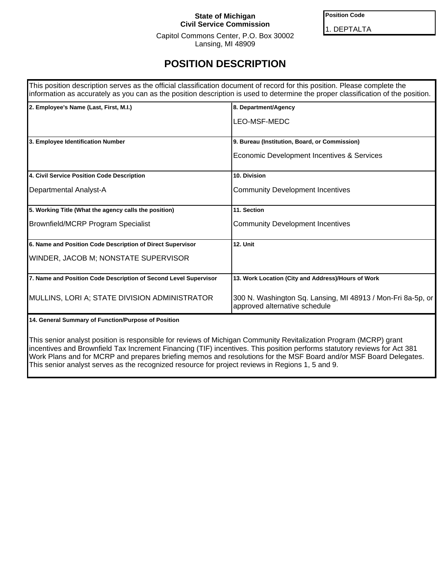## **State of Michigan Civil Service Commission**

**Position Code**

1. DEPTALTA

Capitol Commons Center, P.O. Box 30002 Lansing, MI 48909

## **POSITION DESCRIPTION**

| This position description serves as the official classification document of record for this position. Please complete the | information as accurately as you can as the position description is used to determine the proper classification of the position. |
|---------------------------------------------------------------------------------------------------------------------------|----------------------------------------------------------------------------------------------------------------------------------|
| 2. Employee's Name (Last, First, M.I.)                                                                                    | 8. Department/Agency                                                                                                             |
|                                                                                                                           | LEO-MSF-MEDC                                                                                                                     |
| 3. Employee Identification Number                                                                                         | 9. Bureau (Institution, Board, or Commission)                                                                                    |
|                                                                                                                           | Economic Development Incentives & Services                                                                                       |
| 4. Civil Service Position Code Description                                                                                | 10. Division                                                                                                                     |
| Departmental Analyst-A                                                                                                    | <b>Community Development Incentives</b>                                                                                          |
| 5. Working Title (What the agency calls the position)                                                                     | 11. Section                                                                                                                      |
| Brownfield/MCRP Program Specialist                                                                                        | <b>Community Development Incentives</b>                                                                                          |
| 6. Name and Position Code Description of Direct Supervisor                                                                | <b>12. Unit</b>                                                                                                                  |
| WINDER, JACOB M; NONSTATE SUPERVISOR                                                                                      |                                                                                                                                  |
| 7. Name and Position Code Description of Second Level Supervisor                                                          | 13. Work Location (City and Address)/Hours of Work                                                                               |
| MULLINS, LORI A; STATE DIVISION ADMINISTRATOR                                                                             | 300 N. Washington Sq. Lansing, MI 48913 / Mon-Fri 8a-5p, or<br>approved alternative schedule                                     |

**14. General Summary of Function/Purpose of Position**

This senior analyst position is responsible for reviews of Michigan Community Revitalization Program (MCRP) grant incentives and Brownfield Tax Increment Financing (TIF) incentives. This position performs statutory reviews for Act 381 Work Plans and for MCRP and prepares briefing memos and resolutions for the MSF Board and/or MSF Board Delegates. This senior analyst serves as the recognized resource for project reviews in Regions 1, 5 and 9.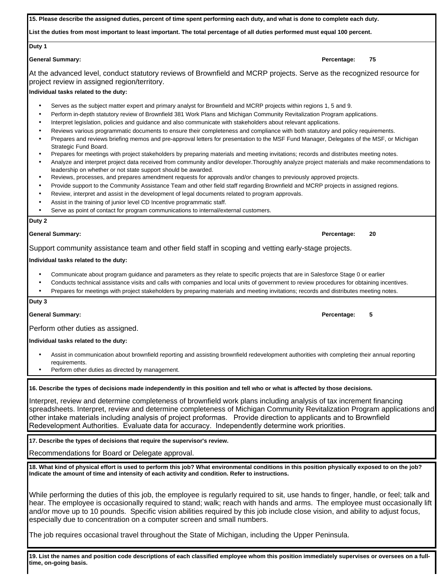| 15. Please describe the assigned duties, percent of time spent performing each duty, and what is done to complete each duty.                                                                                                                                                                                                                                                                                                                                                                                                                                                                                                                                                                                                                                                                                                                                                                                                                                                                                                                                                                                                                                                                                                                                                                                                                                                                                                                                                                                                                                             |                   |
|--------------------------------------------------------------------------------------------------------------------------------------------------------------------------------------------------------------------------------------------------------------------------------------------------------------------------------------------------------------------------------------------------------------------------------------------------------------------------------------------------------------------------------------------------------------------------------------------------------------------------------------------------------------------------------------------------------------------------------------------------------------------------------------------------------------------------------------------------------------------------------------------------------------------------------------------------------------------------------------------------------------------------------------------------------------------------------------------------------------------------------------------------------------------------------------------------------------------------------------------------------------------------------------------------------------------------------------------------------------------------------------------------------------------------------------------------------------------------------------------------------------------------------------------------------------------------|-------------------|
| List the duties from most important to least important. The total percentage of all duties performed must equal 100 percent.                                                                                                                                                                                                                                                                                                                                                                                                                                                                                                                                                                                                                                                                                                                                                                                                                                                                                                                                                                                                                                                                                                                                                                                                                                                                                                                                                                                                                                             |                   |
| Duty 1                                                                                                                                                                                                                                                                                                                                                                                                                                                                                                                                                                                                                                                                                                                                                                                                                                                                                                                                                                                                                                                                                                                                                                                                                                                                                                                                                                                                                                                                                                                                                                   |                   |
| <b>General Summary:</b>                                                                                                                                                                                                                                                                                                                                                                                                                                                                                                                                                                                                                                                                                                                                                                                                                                                                                                                                                                                                                                                                                                                                                                                                                                                                                                                                                                                                                                                                                                                                                  | 75<br>Percentage: |
| At the advanced level, conduct statutory reviews of Brownfield and MCRP projects. Serve as the recognized resource for<br>project review in assigned region/territory.                                                                                                                                                                                                                                                                                                                                                                                                                                                                                                                                                                                                                                                                                                                                                                                                                                                                                                                                                                                                                                                                                                                                                                                                                                                                                                                                                                                                   |                   |
| Individual tasks related to the duty:                                                                                                                                                                                                                                                                                                                                                                                                                                                                                                                                                                                                                                                                                                                                                                                                                                                                                                                                                                                                                                                                                                                                                                                                                                                                                                                                                                                                                                                                                                                                    |                   |
| Serves as the subject matter expert and primary analyst for Brownfield and MCRP projects within regions 1, 5 and 9.<br>$\bullet$<br>Perform in-depth statutory review of Brownfield 381 Work Plans and Michigan Community Revitalization Program applications.<br>٠<br>Interpret legislation, policies and guidance and also communicate with stakeholders about relevant applications.<br>$\bullet$<br>Reviews various programmatic documents to ensure their completeness and compliance with both statutory and policy requirements.<br>$\bullet$<br>Prepares and reviews briefing memos and pre-approval letters for presentation to the MSF Fund Manager, Delegates of the MSF, or Michigan<br>٠<br>Strategic Fund Board.<br>Prepares for meetings with project stakeholders by preparing materials and meeting invitations; records and distributes meeting notes.<br>٠<br>Analyze and interpret project data received from community and/or developer. Thoroughly analyze project materials and make recommendations to<br>$\bullet$<br>leadership on whether or not state support should be awarded.<br>Reviews, processes, and prepares amendment requests for approvals and/or changes to previously approved projects.<br>$\bullet$<br>Provide support to the Community Assistance Team and other field staff regarding Brownfield and MCRP projects in assigned regions.<br>Review, interpret and assist in the development of legal documents related to program approvals.<br>٠<br>Assist in the training of junior level CD Incentive programmatic staff. |                   |
| Serve as point of contact for program communications to internal/external customers.<br>٠                                                                                                                                                                                                                                                                                                                                                                                                                                                                                                                                                                                                                                                                                                                                                                                                                                                                                                                                                                                                                                                                                                                                                                                                                                                                                                                                                                                                                                                                                |                   |
| Duty 2                                                                                                                                                                                                                                                                                                                                                                                                                                                                                                                                                                                                                                                                                                                                                                                                                                                                                                                                                                                                                                                                                                                                                                                                                                                                                                                                                                                                                                                                                                                                                                   |                   |
| <b>General Summary:</b>                                                                                                                                                                                                                                                                                                                                                                                                                                                                                                                                                                                                                                                                                                                                                                                                                                                                                                                                                                                                                                                                                                                                                                                                                                                                                                                                                                                                                                                                                                                                                  | Percentage:<br>20 |
| Support community assistance team and other field staff in scoping and vetting early-stage projects.                                                                                                                                                                                                                                                                                                                                                                                                                                                                                                                                                                                                                                                                                                                                                                                                                                                                                                                                                                                                                                                                                                                                                                                                                                                                                                                                                                                                                                                                     |                   |
| Individual tasks related to the duty:                                                                                                                                                                                                                                                                                                                                                                                                                                                                                                                                                                                                                                                                                                                                                                                                                                                                                                                                                                                                                                                                                                                                                                                                                                                                                                                                                                                                                                                                                                                                    |                   |
| Communicate about program guidance and parameters as they relate to specific projects that are in Salesforce Stage 0 or earlier<br>Conducts technical assistance visits and calls with companies and local units of government to review procedures for obtaining incentives.<br>Prepares for meetings with project stakeholders by preparing materials and meeting invitations; records and distributes meeting notes.<br>$\bullet$                                                                                                                                                                                                                                                                                                                                                                                                                                                                                                                                                                                                                                                                                                                                                                                                                                                                                                                                                                                                                                                                                                                                     |                   |
| Duty 3                                                                                                                                                                                                                                                                                                                                                                                                                                                                                                                                                                                                                                                                                                                                                                                                                                                                                                                                                                                                                                                                                                                                                                                                                                                                                                                                                                                                                                                                                                                                                                   |                   |
| <b>General Summary:</b>                                                                                                                                                                                                                                                                                                                                                                                                                                                                                                                                                                                                                                                                                                                                                                                                                                                                                                                                                                                                                                                                                                                                                                                                                                                                                                                                                                                                                                                                                                                                                  | 5<br>Percentage:  |
| Perform other duties as assigned.                                                                                                                                                                                                                                                                                                                                                                                                                                                                                                                                                                                                                                                                                                                                                                                                                                                                                                                                                                                                                                                                                                                                                                                                                                                                                                                                                                                                                                                                                                                                        |                   |
| Individual tasks related to the duty:                                                                                                                                                                                                                                                                                                                                                                                                                                                                                                                                                                                                                                                                                                                                                                                                                                                                                                                                                                                                                                                                                                                                                                                                                                                                                                                                                                                                                                                                                                                                    |                   |
| Assist in communication about brownfield reporting and assisting brownfield redevelopment authorities with completing their annual reporting<br>requirements.<br>Perform other duties as directed by management.                                                                                                                                                                                                                                                                                                                                                                                                                                                                                                                                                                                                                                                                                                                                                                                                                                                                                                                                                                                                                                                                                                                                                                                                                                                                                                                                                         |                   |
| 16. Describe the types of decisions made independently in this position and tell who or what is affected by those decisions.                                                                                                                                                                                                                                                                                                                                                                                                                                                                                                                                                                                                                                                                                                                                                                                                                                                                                                                                                                                                                                                                                                                                                                                                                                                                                                                                                                                                                                             |                   |
| Interpret, review and determine completeness of brownfield work plans including analysis of tax increment financing<br>spreadsheets. Interpret, review and determine completeness of Michigan Community Revitalization Program applications and<br>other intake materials including analysis of project proformas. Provide direction to applicants and to Brownfield<br>Redevelopment Authorities. Evaluate data for accuracy. Independently determine work priorities.                                                                                                                                                                                                                                                                                                                                                                                                                                                                                                                                                                                                                                                                                                                                                                                                                                                                                                                                                                                                                                                                                                  |                   |
| 17. Describe the types of decisions that require the supervisor's review.                                                                                                                                                                                                                                                                                                                                                                                                                                                                                                                                                                                                                                                                                                                                                                                                                                                                                                                                                                                                                                                                                                                                                                                                                                                                                                                                                                                                                                                                                                |                   |

Recommendations for Board or Delegate approval.

**18. What kind of physical effort is used to perform this job? What environmental conditions in this position physically exposed to on the job? Indicate the amount of time and intensity of each activity and condition. Refer to instructions.**

While performing the duties of this job, the employee is regularly required to sit, use hands to finger, handle, or feel; talk and hear. The employee is occasionally required to stand; walk; reach with hands and arms. The employee must occasionally lift and/or move up to 10 pounds. Specific vision abilities required by this job include close vision, and ability to adjust focus, especially due to concentration on a computer screen and small numbers.

The job requires occasional travel throughout the State of Michigan, including the Upper Peninsula.

**19. List the names and position code descriptions of each classified employee whom this position immediately supervises or oversees on a fulltime, on-going basis.**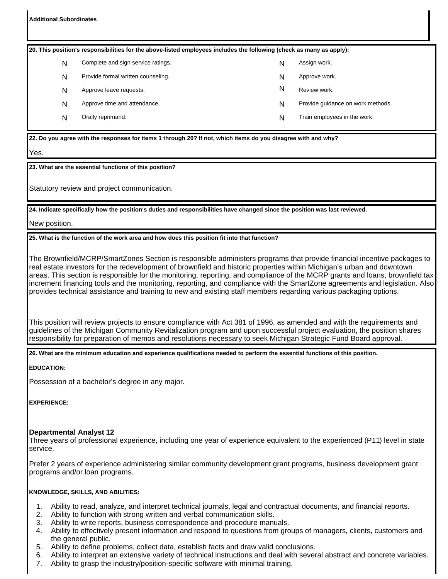**Additional Subordinates**

| [20. This position's responsibilities for the above-listed employees includes the following (check as many as apply): |  |                                    |   |                                   |  |  |
|-----------------------------------------------------------------------------------------------------------------------|--|------------------------------------|---|-----------------------------------|--|--|
| N                                                                                                                     |  | Complete and sign service ratings. | N | Assign work.                      |  |  |
| N                                                                                                                     |  | Provide formal written counseling. | N | Approve work.                     |  |  |
| N                                                                                                                     |  | Approve leave requests.            | N | Review work.                      |  |  |
| N                                                                                                                     |  | Approve time and attendance.       | N | Provide guidance on work methods. |  |  |
| N                                                                                                                     |  | Orally reprimand.                  | N | Train employees in the work.      |  |  |
|                                                                                                                       |  |                                    |   |                                   |  |  |

**22. Do you agree with the responses for items 1 through 20? If not, which items do you disagree with and why?**

Yes.

**23. What are the essential functions of this position?**

Statutory review and project communication.

**24. Indicate specifically how the position's duties and responsibilities have changed since the position was last reviewed.**

New position.

**25. What is the function of the work area and how does this position fit into that function?**

The Brownfield/MCRP/SmartZones Section is responsible administers programs that provide financial incentive packages to real estate investors for the redevelopment of brownfield and historic properties within Michigan's urban and downtown areas. This section is responsible for the monitoring, reporting, and compliance of the MCRP grants and loans, brownfield tax increment financing tools and the monitoring, reporting, and compliance with the SmartZone agreements and legislation. Also provides technical assistance and training to new and existing staff members regarding various packaging options.

This position will review projects to ensure compliance with Act 381 of 1996, as amended and with the requirements and guidelines of the Michigan Community Revitalization program and upon successful project evaluation, the position shares responsibility for preparation of memos and resolutions necessary to seek Michigan Strategic Fund Board approval.

**26. What are the minimum education and experience qualifications needed to perform the essential functions of this position.**

**EDUCATION:**

Possession of a bachelor's degree in any major.

**EXPERIENCE:**

## **Departmental Analyst 12**

Three years of professional experience, including one year of experience equivalent to the experienced (P11) level in state service.

Prefer 2 years of experience administering similar community development grant programs, business development grant programs and/or loan programs.

## **KNOWLEDGE, SKILLS, AND ABILITIES:**

- 1. Ability to read, analyze, and interpret technical journals, legal and contractual documents, and financial reports.
- 2. Ability to function with strong written and verbal communication skills.
- 3. Ability to write reports, business correspondence and procedure manuals.
- 4. Ability to effectively present information and respond to questions from groups of managers, clients, customers and the general public.
- 5. Ability to define problems, collect data, establish facts and draw valid conclusions.
- 6. Ability to interpret an extensive variety of technical instructions and deal with several abstract and concrete variables.
- 7. Ability to grasp the industry/position-specific software with minimal training.